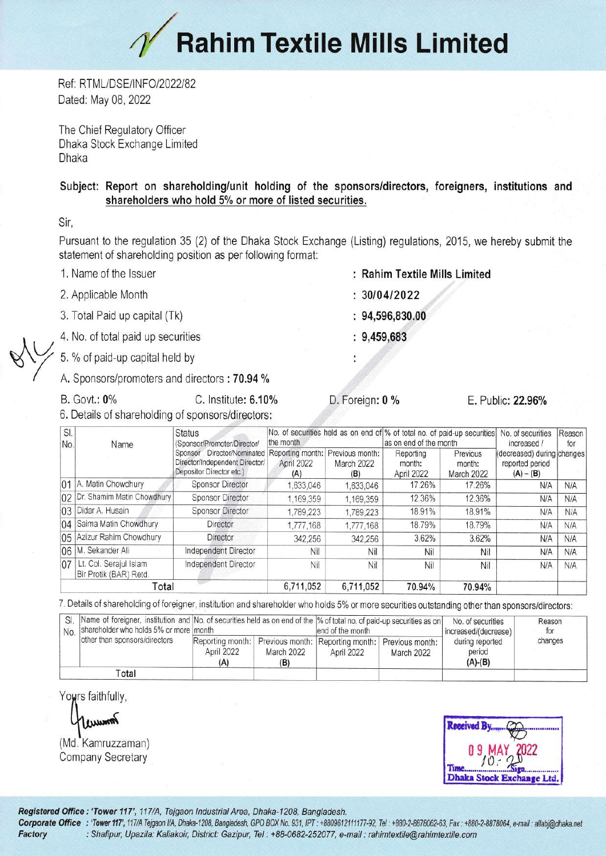## $\gamma$  Rahim Textile Mills Limited

Ref: RTML/DSE/INFO/2022/82 Dated: May 08, 2022

The Chief Regulatory Officer Dhaka Stock Exchange Limited Dhaka

## Subject: Report on shareholding/unit holding of the sponsors/directors, foreigners, institutions and shareholders who hold 5% or more of listed securities.

Sir.

Pursuant to the regulation 35 (2) of the Dhaka Stock Exchange (Listing) regulations, 2015, we hereby submit the statement of shareholding position as per following format:

- 1. Name of the Issuer
- 2. Applicable Month
- 3. Total Paid up capital (Tk)
- 4. No. of total paid up securities
- 5. % of paid-up capital held by
- A. Sponsors/promoters and directors: 70.94 %
- **B.** Govt.: 0%
- C. Institute: 6.10% 6. Details of shareholding of sponsors/directors:

Total

 $SI.$ **Status** No. of securities held as on end of % of total no. of paid-up securities No. of securities Reason the month (Sponsor/Promoter/Director/ as on end of the month increased / No. Name Sponsor Director/Nominated Reporting month: Previous month: Reporting Previous (decreased) during changes Director/Independent Director/ April 2022 March 2022 month: reported period month: Depositor Director etc.)  $(A)$  $(B)$ April 2022 March 2022  $(A) - (B)$ 01 A. Matin Chowdhury **Sponsor Director** 1,633,046 1,633,046 17.26% 17.26% N/A 02 Dr. Shamim Matin Chowdhury Sponsor Director 12.36% 12.36% 1,169,359 1,169,359  $N/A$ 03 Didar A. Husain **Sponsor Director** 18.91% 18.91% 1,789,223 1,789,223  $N/A$ 04 Saima Matin Chowdhury Director 18.79% 18.79% 1,777,168 1,777,168  $N/A$ 05 Azizur Rahim Chowdhury Director 342,256 3.62% 3.62% 342,256 N/A 06 M. Sekander Ali Independent Director Nil Nil Nil Nil  $N/A$ Lt. Col. Seraiul Islam  $07$ Independent Director Nil Nil Nil Nil  $N/A$ Bir Protik (BAR) Retd

7. Details of shareholding of foreigner, institution and shareholder who holds 5% or more securities outstanding other than sponsors/directors:

6.711.052

| SI.   | No. shareholder who holds 5% or more month<br>other than sponsors/directors |                                       |                   | Name of foreigner, institution and No. of securities held as on end of the % of total no. of paid-up securities as on<br>lend of the month |            | No. of securities<br>increased/(decrease) | Reason<br>tor |
|-------|-----------------------------------------------------------------------------|---------------------------------------|-------------------|--------------------------------------------------------------------------------------------------------------------------------------------|------------|-------------------------------------------|---------------|
|       |                                                                             | Reporting month:<br>April 2022<br>(A) | March 2022<br>(B) | Previous month: Reporting month: Previous month:<br>April 2022                                                                             | March 2022 | during reported<br>period<br>$(A)-(B)$    | changes       |
| Total |                                                                             |                                       |                   |                                                                                                                                            |            |                                           |               |

Yours faithfully,

Amuus

(Md. Kamruzzaman) **Company Secretary** 



Registered Office: 'Tower 117', 117/A, Tejgaon Industrial Area, Dhaka-1208, Bangladesh.

Corporate Office : 'Tower 117', 117/A Tejgaon I/A, Dhaka-1208, Bangladesh, GPO BOX No. 931, IPT : +8809612111177-92, Tel : +880-2-8878062-63, Fax : +880-2-8878064, e-mail : allabi@dhaka.net : Shafipur, Upazila: Kaliakoir, District: Gazipur, Tel : +88-0682-252077, e-mail : rahimtextile@rahimtextile.com Factory

- : Rahim Textile Mills Limited
- $: 30/04/2022$
- $: 94,596,830.00$
- $: 9,459,683$

D. Foreign: 0 %

6.711.052

70.94%

70.94%

E. Public: 22.96%

for

 $N/A$ 

 $N/A$ 

 $N/A$ 

 $N/A$ 

 $N/A$ 

 $N/A$ 

 $N/A$